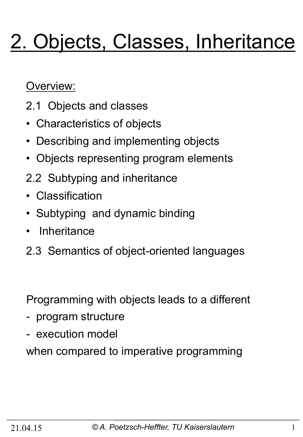# 2. Objects, Classes, Inheritance

Overview:

- 2.1 Objects and classes
- Characteristics of objects
- Describing and implementing objects
- Objects representing program elements
- 2.2 Subtyping and inheritance
- Classification
- Subtyping and dynamic binding
- **Inheritance**
- 2.3 Semantics of object-oriented languages

Programming with objects leads to a different

- program structure
- execution model

when compared to imperative programming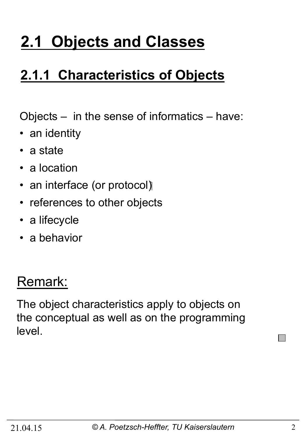## **2.1 Objects and Classes**

## **2.1.1 Characteristics of Objects**

Objects – in the sense of informatics – have:

- an identity
- a state
- a location
- an interface (or protocol)
- references to other objects
- a lifecycle
- a behavior

## Remark:

The object characteristics apply to objects on the conceptual as well as on the programming level.

 $\Box$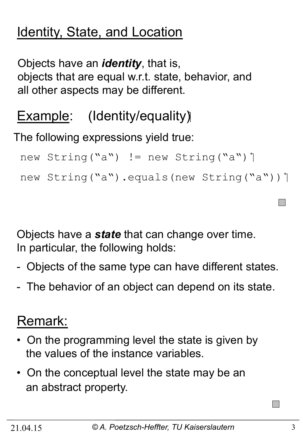## Identity, State, and Location

Objects have an *identity*, that is, objects that are equal w.r.t. state, behavior, and all other aspects may be different.

## **Example:** (Identity/equality)

The following expressions yield true:

```
new String("a") != new String("a") 1
```

```
new String("a").equals(new String("a"))]
```
Objects have a *state* that can change over time. In particular, the following holds:

- Objects of the same type can have different states.
- The behavior of an object can depend on its state.

## Remark:

- On the programming level the state is given by the values of the instance variables.
- On the conceptual level the state may be an an abstract property.

 $\mathcal{L}^{\text{max}}$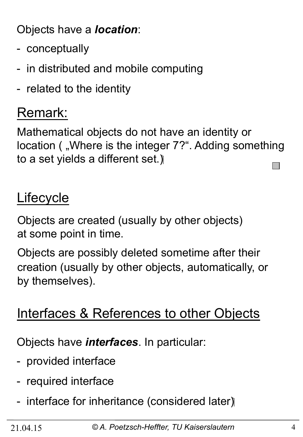Objects have a *location*:

- conceptually
- in distributed and mobile computing
- related to the identity

## Remark:

Mathematical objects do not have an identity or location ( "Where is the integer 7?". Adding something to a set yields a different set.)  $\mathbf{L}$ 

## Lifecycle

Objects are created (usually by other objects) at some point in time.

Objects are possibly deleted sometime after their creation (usually by other objects, automatically, or by themselves).

## Interfaces & References to other Objects

Objects have *interfaces*. In particular:

- provided interface
- required interface
- interface for inheritance (considered later)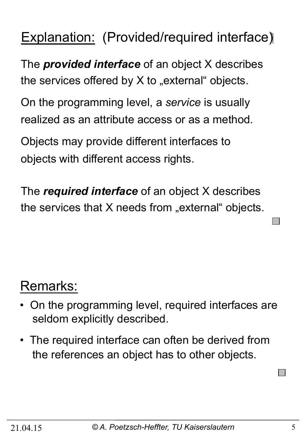## **Explanation:** (Provided/required interface)

The *provided interface* of an object X describes the services offered by  $X$  to "external" objects.

On the programming level, a *service* is usually realized as an attribute access or as a method.

Objects may provide different interfaces to objects with different access rights.

The *required interface* of an object X describes the services that  $X$  needs from "external" objects.

## Remarks:

- On the programming level, required interfaces are seldom explicitly described.
- The required interface can often be derived from the references an object has to other objects.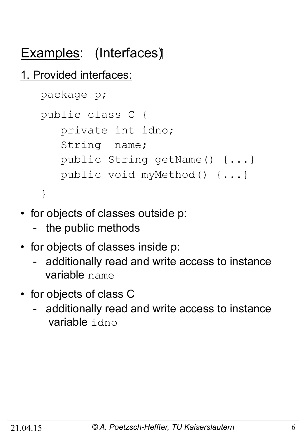## Examples: (Interfaces)

### 1. Provided interfaces:

```
 package p; 
 public class C { 
    private int idno; 
    String name; 
    public String getName() {...} 
    public void myMethod() {...} 
 }
```
- for objects of classes outside p:
	- the public methods
- for objects of classes inside p:
	- additionally read and write access to instance variable name
- for objects of class C
	- additionally read and write access to instance variable idno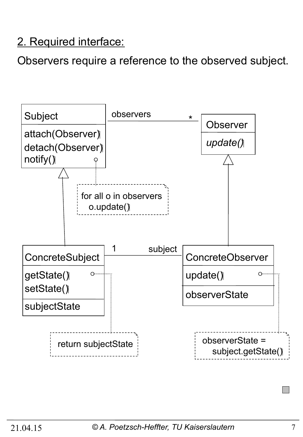#### 2. Required interface:

Observers require a reference to the observed subject.

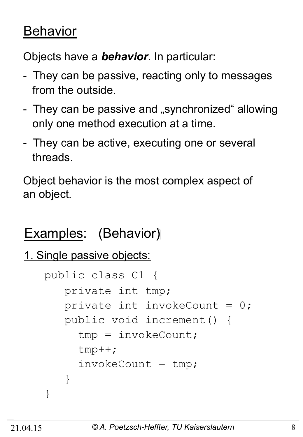## **Behavior**

Objects have a *behavior*. In particular:

- They can be passive, reacting only to messages from the outside.
- They can be passive and "synchronized" allowing only one method execution at a time.
- They can be active, executing one or several threads.

Object behavior is the most complex aspect of an object.

## Examples: (Behavior)

```
1. Single passive objects:
```

```
 public class C1 { 
       private int tmp; 
      private int invokeCount = 0;
       public void increment() { 
         tmp = invokeCount; 
         tmp++; 
        invokeCount = tmp; } 
 }
```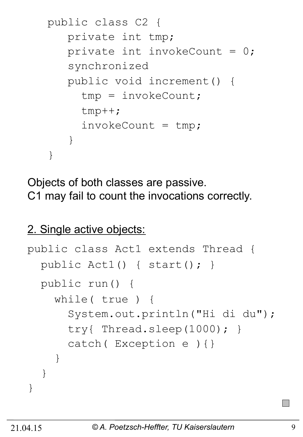```
 public class C2 { 
       private int tmp; 
      private int invokeCount = 0;
       synchronized 
       public void increment() { 
         tmp = invokeCount; 
         tmp++; 
        invokeCount = tmp; } 
 }
```
Objects of both classes are passive. C1 may fail to count the invocations correctly.

#### 2. Single active objects:

```
public class Act1 extends Thread { 
   public Act1() { start(); } 
   public run() { 
     while( true ) { 
       System.out.println("Hi di du"); 
       try{ Thread.sleep(1000); } 
       catch( Exception e ){} 
 } 
   } 
}
```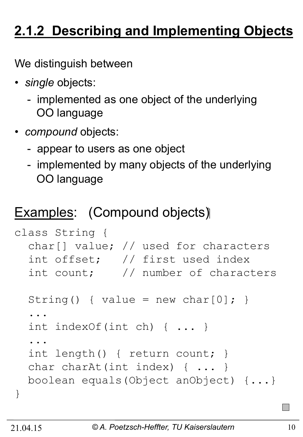## **2.1.2 Describing and Implementing Objects**

We distinguish between

- *single* objects:
	- implemented as one object of the underlying OO language
- *compound* objects:
	- appear to users as one object
	- implemented by many objects of the underlying OO language

### Examples: (Compound objects)

```
class String { 
   char[] value; // used for characters 
   int offset; // first used index 
   int count; // number of characters 
  String() { value = new char[0]; }
   ... 
   int indexOf(int ch) { ... } 
   ... 
   int length() { return count; } 
  char charAt(int index) { ... }
   boolean equals(Object anObject) {...} 
}
```
 $\mathbb{Z}^2$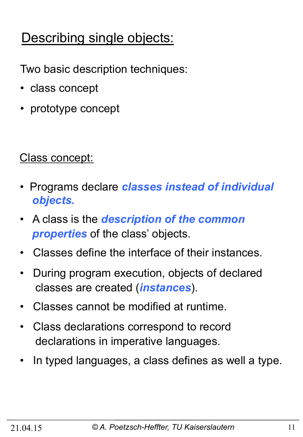## Describing single objects:

Two basic description techniques:

- class concept
- prototype concept

Class concept:

- Programs declare *classes instead of individual objects.*
- A class is the *description of the common properties* of the class' objects.
- Classes define the interface of their instances.
- During program execution, objects of declared classes are created (*instances*).
- Classes cannot be modified at runtime.
- Class declarations correspond to record declarations in imperative languages.
- In typed languages, a class defines as well a type.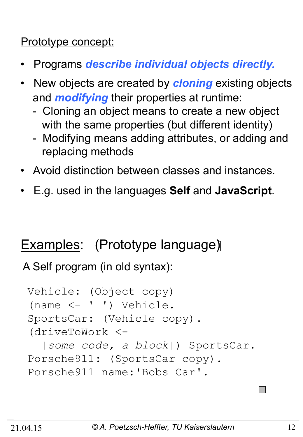#### Prototype concept:

- Programs *describe individual objects directly.*
- •New objects are created by *cloning* existing objects and *modifying* their properties at runtime:
	- Cloning an object means to create a new object with the same properties (but different identity)
	- Modifying means adding attributes, or adding and replacing methods
- Avoid distinction between classes and instances.
- E.g. used in the languages **Self** and **JavaScript**.

## Examples: (Prototype language)

A Self program (in old syntax):

```
Vehicle: (Object copy) 
(name <- ' ') Vehicle. 
SportsCar: (Vehicle copy). 
(driveToWork <- 
   |some code, a block|) SportsCar. 
Porsche911: (SportsCar copy). 
Porsche911 name:'Bobs Car'.
```
 $\mathcal{L}_{\mathcal{A}}$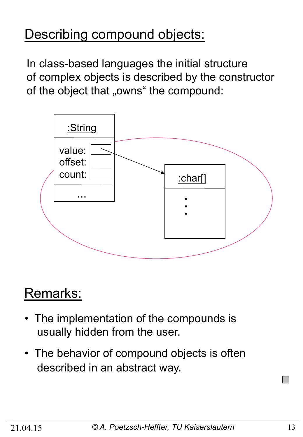## Describing compound objects:

In class-based languages the initial structure of complex objects is described by the constructor of the object that "owns" the compound:



## Remarks:

- The implementation of the compounds is usually hidden from the user.
- The behavior of compound objects is often described in an abstract way.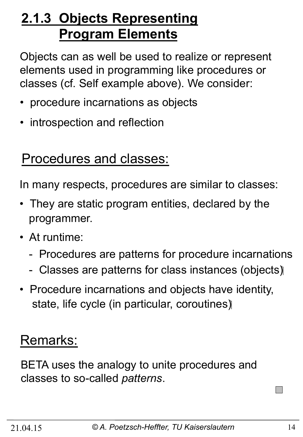## **2.1.3 Objects Representing Program Elements**

Objects can as well be used to realize or represent elements used in programming like procedures or classes (cf. Self example above). We consider:

- procedure incarnations as objects
- introspection and reflection

### Procedures and classes:

In many respects, procedures are similar to classes:

- They are static program entities, declared by the programmer.
- At runtime:
	- Procedures are patterns for procedure incarnations
	- Classes are patterns for class instances (objects)
- Procedure incarnations and objects have identity, state, life cycle (in particular, coroutines)

## Remarks:

BETA uses the analogy to unite procedures and classes to so-called *patterns*.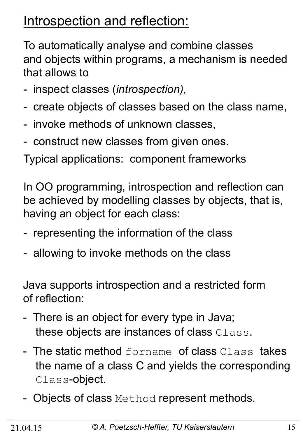## Introspection and reflection:

To automatically analyse and combine classes and objects within programs, a mechanism is needed that allows to

- inspect classes (*introspection),*
- create objects of classes based on the class name,
- invoke methods of unknown classes,
- construct new classes from given ones.

Typical applications: component frameworks

In OO programming, introspection and reflection can be achieved by modelling classes by objects, that is, having an object for each class:

- representing the information of the class
- allowing to invoke methods on the class

Java supports introspection and a restricted form of reflection:

- There is an object for every type in Java; these objects are instances of class Class.
- The static method forname of class Class takes the name of a class C and yields the corresponding Class-object.
- Objects of class Method represent methods.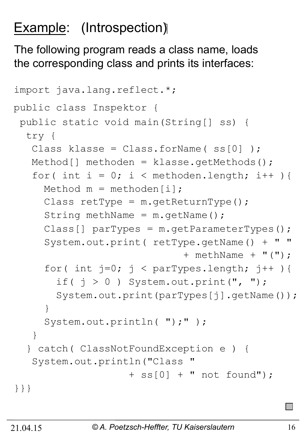## **Example:** (Introspection)

The following program reads a class name, loads the corresponding class and prints its interfaces:

```
import java.lang.reflect.*; 
public class Inspektor { 
  public static void main(String[] ss) { 
   try { 
   Class klasse = Class.forName(ss[0]);
    Method[] methoden = klasse.getMethods(); 
   for( int i = 0; i < methoden.length; i++ ){
     Method m = methoden[i];
     Class retType = m \cdot qetReturnType();
     String methName = m \cdot qetName();
     Class[] \text{parTypes} = \text{m.getParameterTypes} () ;
     System.out.print( return.c) + + methName + "("); 
     for( int j=0; j < parTypes.length; j++ ){
       if( j > 0 ) System.out.print(", ");
       System.out.print(parTypes[j].getName());
 } 
     System.out.println( ");" );
    } 
   } catch( ClassNotFoundException e ) { 
    System.out.println("Class " 
                    + ss[0] + " not found");
}}}
```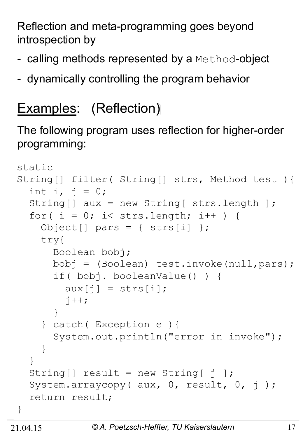Reflection and meta-programming goes beyond introspection by

- calling methods represented by a Method-object
- dynamically controlling the program behavior

## Examples: (Reflection)

The following program uses reflection for higher-order programming:

```
static 
String[] filter( String[] strs, Method test ){ 
  int i, j = 0;
   String[] aux = new String[ strs.length ]; 
  for( i = 0; i < strs.length; i++ ) {
    Object[] pars = { strs[i] };
     try{ 
       Boolean bobj; 
       bobj = (Boolean) test.invoke(null,pars); 
       if( bobj. booleanValue() ) { 
         aux[i] = strs[i];j++; } 
     } catch( Exception e ){ 
       System.out.println("error in invoke"); 
 } 
   } 
  String [] result = new String \begin{bmatrix} j \end{bmatrix};
  System.arraycopy( aux, 0, result, 0, j);
   return result; 
}
```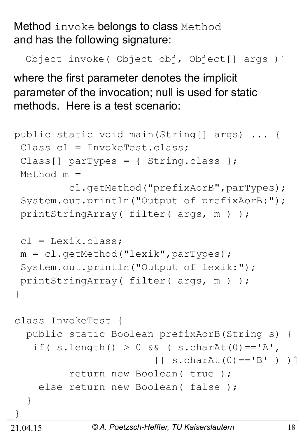Method invoke belongs to class Method and has the following signature:

Object invoke (Object obj, Object [] args ) ]

where the first parameter denotes the implicit parameter of the invocation; null is used for static methods. Here is a test scenario:

```
public static void main(String[] args) ... { 
  Class cl = InvokeTest.class; 
 Class[] parTypes = { String.class };
  Method m = 
          cl.getMethod("prefixAorB",parTypes); 
  System.out.println("Output of prefixAorB:"); 
  printStringArray( filter( args, m ) ); 
 cl = Lexik.class: m = cl.getMethod("lexik",parTypes); 
  System.out.println("Output of lexik:"); 
  printStringArray( filter( args, m ) ); 
} 
class InvokeTest { 
   public static Boolean prefixAorB(String s) { 
   if( s.length() > 0 \&&( s.charAt(0) =='A',
                         | \cdot | s.charAt(0) == 'B' ) ) |
           return new Boolean( true ); 
    else return new Boolean (false);
   } 
}
```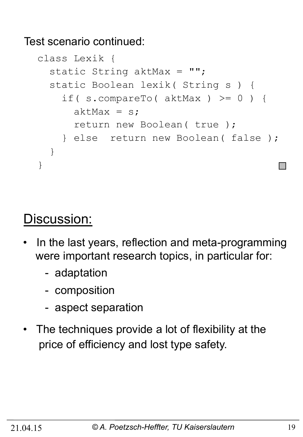Test scenario continued:

```
class Lexik { 
  static String aktMax = "";
   static Boolean lexik( String s ) { 
    if( s.compareTo( aktMax ) >= 0 ) {
      aktMax = s;
       return new Boolean( true ); 
     } else return new Boolean( false ); 
   } 
}
```
### Discussion:

- In the last years, reflection and meta-programming were important research topics, in particular for:
	- adaptation
	- composition
	- aspect separation
- The techniques provide a lot of flexibility at the price of efficiency and lost type safety.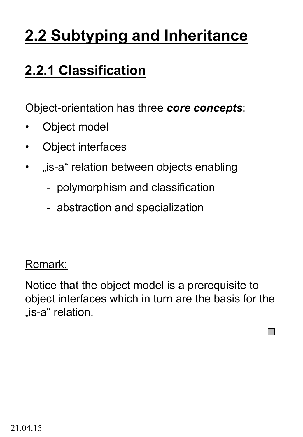## **2.2 Subtyping and Inheritance**

## **2.2.1 Classification**

Object-orientation has three *core concepts*:

- Object model
- Object interfaces
- "is-a" relation between objects enabling
	- polymorphism and classification
	- abstraction and specialization

#### Remark:

Notice that the object model is a prerequisite to object interfaces which in turn are the basis for the "is-a" relation.

 $\Box$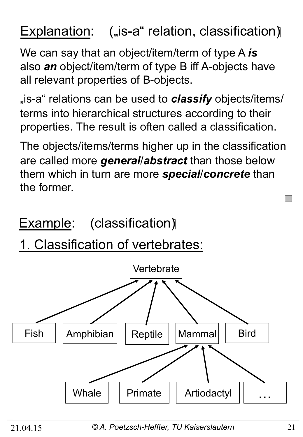## Explanation:  $($ "is-a" relation, classification)

We can say that an object/item/term of type A *is* also *an* object/item/term of type B iff A-objects have all relevant properties of B-objects.

<sub>"i</sub>s-a telations can be used to **classify** objects/items, terms into hierarchical structures according to their properties. The result is often called a classification.

The objects/items/terms higher up in the classification are called more *general*/*abstract* than those below them which in turn are more *special*/*concrete* than the former.

Example: (classification)

1. Classification of vertebrates:



21.04.15 *© A. Poetzsch-Heffter, TU Kaiserslautern* 21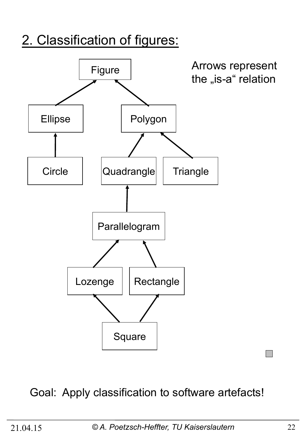## 2. Classification of figures:



### Goal: Apply classification to software artefacts!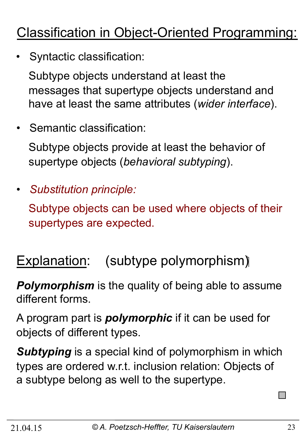## Classification in Object-Oriented Programming:

• Syntactic classification:

 Subtype objects understand at least the messages that supertype objects understand and have at least the same attributes (*wider interface*).

• Semantic classification:

 Subtype objects provide at least the behavior of supertype objects (*behavioral subtyping*).

• *Substitution principle:* 

 Subtype objects can be used where objects of their supertypes are expected.

## Explanation: (subtype polymorphism)

**Polymorphism** is the quality of being able to assume different forms.

A program part is *polymorphic* if it can be used for objects of different types.

*Subtyping* is a special kind of polymorphism in which types are ordered w.r.t. inclusion relation: Objects of a subtype belong as well to the supertype.

×.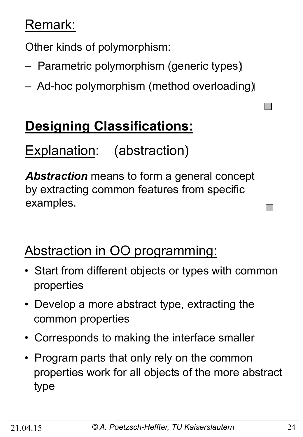## Remark:

Other kinds of polymorphism:

- Parametric polymorphism (generic types)
- Ad-hoc polymorphism (method overloading)

## **Designing Classifications:**

## Explanation: (abstraction)

*Abstraction* means to form a general concept by extracting common features from specific examples.

## Abstraction in OO programming:

- Start from different objects or types with common properties
- Develop a more abstract type, extracting the common properties
- Corresponds to making the interface smaller
- Program parts that only rely on the common properties work for all objects of the more abstract type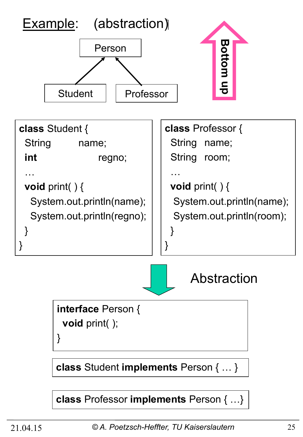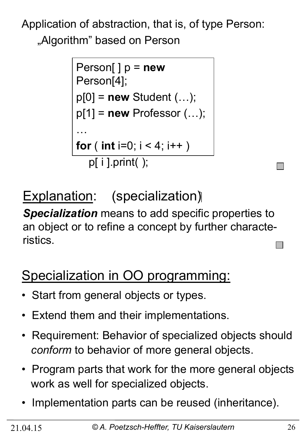Application of abstraction, that is, of type Person: "Algorithm" based on Person

```
Person[ ] p = new
Person[4]; 
p[0] = new Student (…); 
p[1] = new Professor (…); 
…
for ( int i=0; i < 4; i++ )
   p[ i ].print( );
```
Explanation: (specialization)

*Specialization* means to add specific properties to an object or to refine a concept by further characteristics.

## Specialization in OO programming:

- Start from general objects or types.
- Extend them and their implementations.
- Requirement: Behavior of specialized objects should *conform* to behavior of more general objects.
- Program parts that work for the more general objects work as well for specialized objects.
- Implementation parts can be reused (inheritance).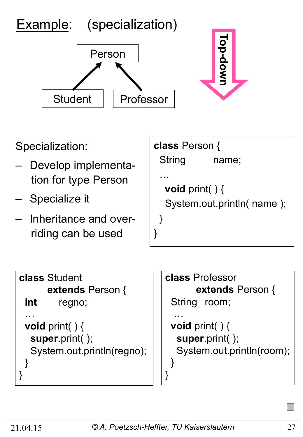



**class** Student **extends** Person { **int** regno; … **void** print( ) { **super**.print( ); System.out.println(regno); } }

```
class Professor 
        extends Person { 
  String room; 
 …
  void print( ) { 
   super.print( ); 
   System.out.println(room); 
 } 
}
```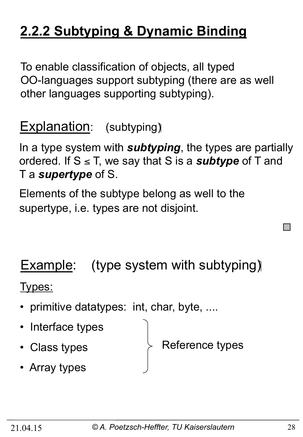## **2.2.2 Subtyping & Dynamic Binding**

To enable classification of objects, all typed OO-languages support subtyping (there are as well other languages supporting subtyping).

## Explanation: (subtyping)

In a type system with *subtyping*, the types are partially ordered. If  $S \leq T$ , we say that S is a *subtype* of T and T a *supertype* of S.

Elements of the subtype belong as well to the supertype, i.e. types are not disjoint.

## Example: (type system with subtyping)

Types:

- primitive datatypes: int, char, byte, ....
- Interface types
- Class types

Reference types

• Array types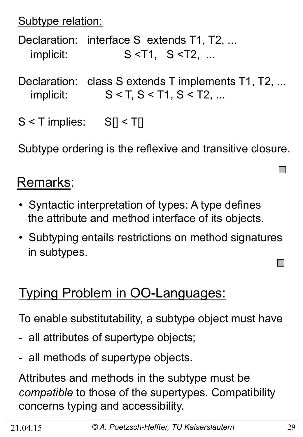Subtype relation:

Declaration: interface S extends T1, T2, ... implicit: S <T1, S <T2, ...

Declaration: class S extends T implements T1, T2, ... implicit:  $S < T, S < T1, S < T2, ...$ 

 $S < T$  implies:  $S[] < T[]$ 

Subtype ordering is the reflexive and transitive closure.

## Remarks:

- Syntactic interpretation of types: A type defines the attribute and method interface of its objects.
- Subtyping entails restrictions on method signatures in subtypes.

## Typing Problem in OO-Languages:

To enable substitutability, a subtype object must have

- all attributes of supertype objects;
- all methods of supertype objects.

Attributes and methods in the subtype must be *compatible* to those of the supertypes. Compatibility concerns typing and accessibility.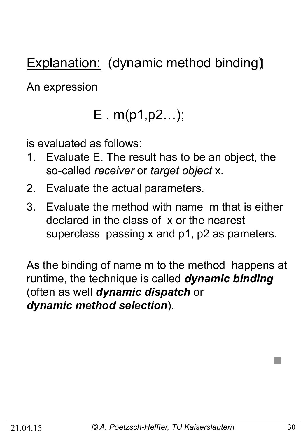Explanation: (dynamic method binding)

An expression

## E . m(p1,p2…);

is evaluated as follows:

- 1. Evaluate E. The result has to be an object, the so-called *receiver* or *target object* x.
- 2. Evaluate the actual parameters.
- 3. Evaluate the method with name m that is either declared in the class of x or the nearest superclass passing x and p1, p2 as pameters.

As the binding of name m to the method happens at runtime, the technique is called *dynamic binding*  (often as well *dynamic dispatch* or *dynamic method selection*).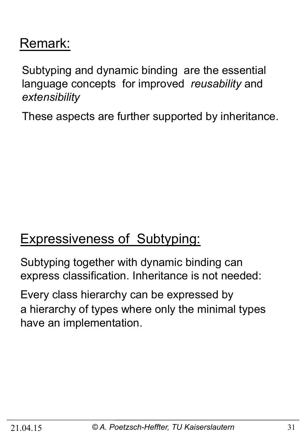## Remark:

Subtyping and dynamic binding are the essential language concepts for improved *reusability* and *extensibility* 

These aspects are further supported by inheritance.

## Expressiveness of Subtyping:

Subtyping together with dynamic binding can express classification. Inheritance is not needed:

Every class hierarchy can be expressed by a hierarchy of types where only the minimal types have an implementation.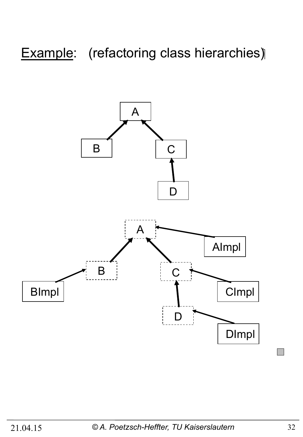## Example: (refactoring class hierarchies)

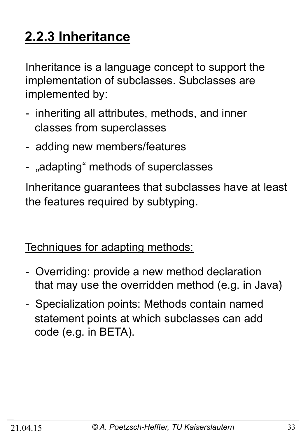## **2.2.3 Inheritance**

Inheritance is a language concept to support the implementation of subclasses. Subclasses are implemented by:

- inheriting all attributes, methods, and inner classes from superclasses
- adding new members/features
- "adapting" methods of superclasses

Inheritance guarantees that subclasses have at least the features required by subtyping.

Techniques for adapting methods:

- Overriding: provide a new method declaration that may use the overridden method (e.g. in Java)
- Specialization points: Methods contain named statement points at which subclasses can add code (e.g. in BETA).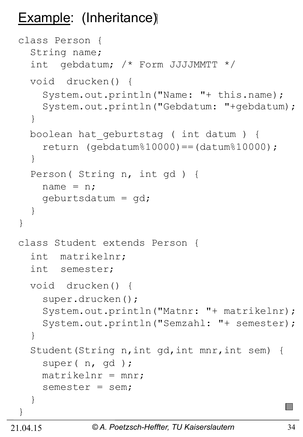## Example: (Inheritance)

```
class Person { 
   String name; 
   int gebdatum; /* Form JJJJMMTT */ 
   void drucken() { 
     System.out.println("Name: "+ this.name); 
     System.out.println("Gebdatum: "+gebdatum); 
   } 
   boolean hat_geburtstag ( int datum ) { 
    return (qebdatum%10000) == (datum%10000); } 
   Person( String n, int gd ) { 
    name = n; geburtsdatum = gd; 
   } 
} 
class Student extends Person { 
   int matrikelnr; 
   int semester; 
   void drucken() { 
     super.drucken(); 
     System.out.println("Matnr: "+ matrikelnr); 
     System.out.println("Semzahl: "+ semester); 
   } 
   Student(String n,int gd,int mnr,int sem) { 
     super( n, gd ); 
    matrix = mnr;
     semester = sem; 
   } 
}
```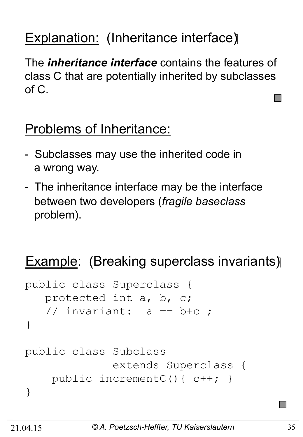## Explanation: (Inheritance interface)

The *inheritance interface* contains the features of class C that are potentially inherited by subclasses of C.

## Problems of Inheritance:

- Subclasses may use the inherited code in a wrong way.
- The inheritance interface may be the interface between two developers (*fragile baseclass* problem).

## Example: (Breaking superclass invariants)

```
public class Superclass { 
    protected int a, b, c; 
   // invariant: a == b+c ;
} 
public class Subclass 
               extends Superclass { 
     public incrementC(){ c++; } 
}
```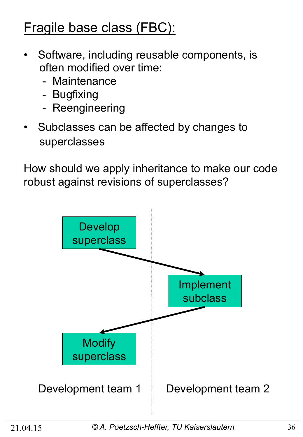## Fragile base class (FBC):

- Software, including reusable components, is often modified over time:
	- Maintenance
	- Bugfixing
	- Reengineering
- Subclasses can be affected by changes to superclasses

How should we apply inheritance to make our code robust against revisions of superclasses?

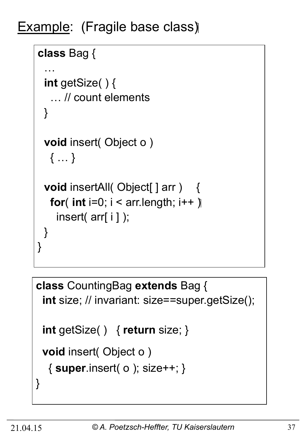Example: (Fragile base class)

```
class Bag { 
 …
  int getSize( ) { 
    … // count elements 
  } 
  void insert( Object o ) 
    { … } 
 void insertAll( Object[ ] arr ) {
   for( int i=0; i < ar. length; i++ \parallel insert( arr[ i ] ); 
  } 
}
```

```
class CountingBag extends Bag { 
  int size; // invariant: size==super.getSize(); 
  int getSize( ) { return size; } 
  void insert( Object o ) 
   { super.insert( o ); size++; } 
}
```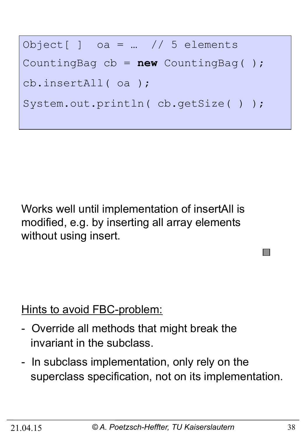Object[ ] oa = … // 5 elements CountingBag cb = **new** CountingBag( ); cb.insertAll( oa ); System.out.println(cb.getSize());

Works well until implementation of insertAll is modified, e.g. by inserting all array elements without using insert.

Hints to avoid FBC-problem:

- Override all methods that might break the invariant in the subclass.
- In subclass implementation, only rely on the superclass specification, not on its implementation.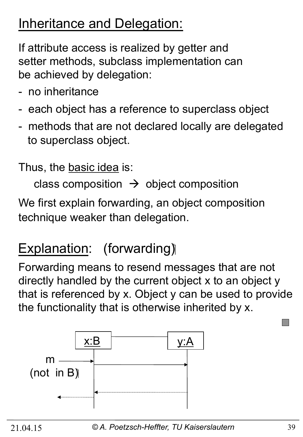## Inheritance and Delegation:

If attribute access is realized by getter and setter methods, subclass implementation can be achieved by delegation:

- no inheritance
- each object has a reference to superclass object
- methods that are not declared locally are delegated to superclass object.

Thus, the basic idea is:

class composition  $\rightarrow$  object composition

We first explain forwarding, an object composition technique weaker than delegation.

## Explanation: (forwarding)

Forwarding means to resend messages that are not directly handled by the current object x to an object y that is referenced by x. Object y can be used to provide the functionality that is otherwise inherited by x.

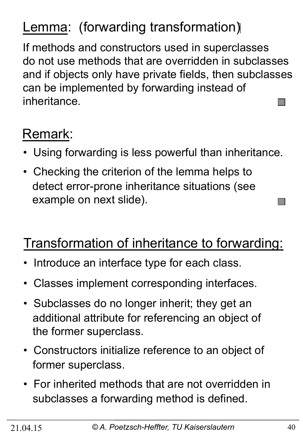## Lemma: (forwarding transformation)

If methods and constructors used in superclasses do not use methods that are overridden in subclasses and if objects only have private fields, then subclasses can be implemented by forwarding instead of inheritance. **Tara** 

## Remark:

- Using forwarding is less powerful than inheritance.
- Checking the criterion of the lemma helps to detect error-prone inheritance situations (see example on next slide).

## Transformation of inheritance to forwarding:

- Introduce an interface type for each class.
- Classes implement corresponding interfaces.
- Subclasses do no longer inherit; they get an additional attribute for referencing an object of the former superclass.
- Constructors initialize reference to an object of former superclass.
- For inherited methods that are not overridden in subclasses a forwarding method is defined.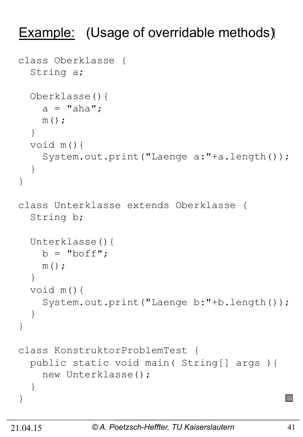## Example: (Usage of overridable methods)

```
class Oberklasse { 
   String a; 
   Oberklasse(){ 
    a = "aha";m();
   } 
   void m(){ 
     System.out.print("Laenge a:"+a.length()); 
   } 
} 
class Unterklasse extends Oberklasse { 
   String b; 
   Unterklasse(){ 
    b = "boff";m();
   } 
   void m(){ 
     System.out.print("Laenge b:"+b.length()); 
   } 
} 
class KonstruktorProblemTest { 
   public static void main( String[] args ){ 
     new Unterklasse(); 
   } 
}
```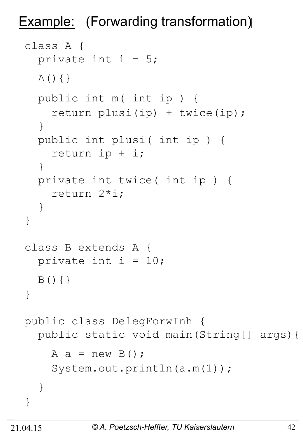Example: (Forwarding transformation)

```
class A { 
  private int i = 5;
  A() { }
   public int m( int ip ) { 
     return plusi(ip) + twice(ip); 
   } 
   public int plusi( int ip ) { 
     return ip + i; 
   } 
   private int twice( int ip ) { 
     return 2*i; 
   } 
} 
class B extends A { 
  private int i = 10;
  B() { }
} 
public class DelegForwInh { 
   public static void main(String[] args){ 
    A a = new B();
     System.out.println(a.m(1)); 
   } 
}
```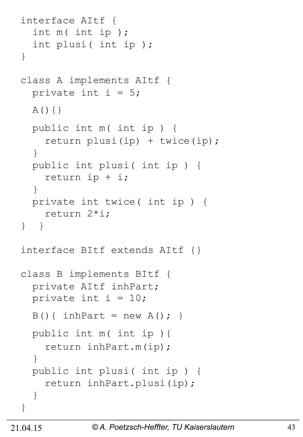```
interface AItf { 
   int m( int ip ); 
   int plusi( int ip ); 
} 
class A implements AItf { 
  private int i = 5;
  A() { } public int m( int ip ) { 
    return plusi(ip) + twice(ip);
   } 
   public int plusi( int ip ) { 
     return ip + i; 
   } 
   private int twice( int ip ) { 
     return 2*i; 
} } 
interface BItf extends AItf {} 
class B implements BItf { 
   private AItf inhPart; 
  private int i = 10;
  B() { inhPart = new A(); }
   public int m( int ip ){ 
     return inhPart.m(ip); 
   } 
   public int plusi( int ip ) { 
     return inhPart.plusi(ip); 
   } 
}
```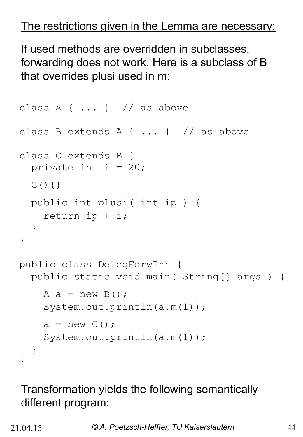#### The restrictions given in the Lemma are necessary:

If used methods are overridden in subclasses, forwarding does not work. Here is a subclass of B that overrides plusi used in m:

```
class A { \dots } // as above
class B extends A { ... } // as above 
class C extends B { 
  private int i = 20;
  C() { }
   public int plusi( int ip ) { 
     return ip + i; 
   } 
} 
public class DelegForwInh { 
   public static void main( String[] args ) { 
    A a = new B();
     System.out.println(a.m(1)); 
    a = new C();
    System.out.println(a.m(1));
   } 
}
```
#### Transformation yields the following semantically different program: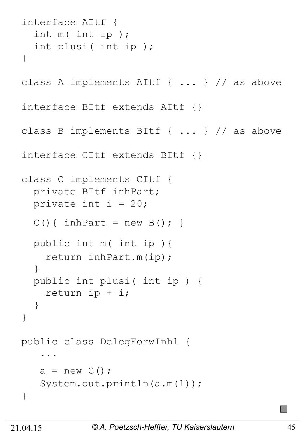```
interface AItf { 
   int m( int ip ); 
   int plusi( int ip ); 
} 
class A implements AItf { ... } // as above 
interface BItf extends AItf {} 
class B implements BItf { ... } // as above 
interface CItf extends BItf {} 
class C implements CItf { 
   private BItf inhPart; 
  private int i = 20;
  C() { inhPart = new B(); }
   public int m( int ip ){ 
     return inhPart.m(ip); 
   } 
   public int plusi( int ip ) { 
     return ip + i; 
   } 
} 
public class DelegForwInh1 { 
 ... 
   a = new C();
   System.out.println(a.m(1));
}
```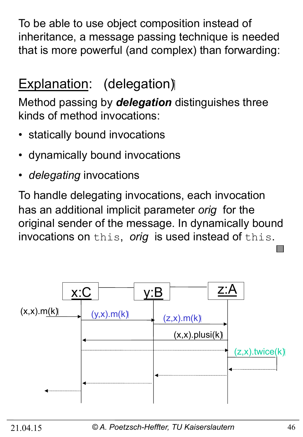To be able to use object composition instead of inheritance, a message passing technique is needed that is more powerful (and complex) than forwarding:

## Explanation: (delegation)

Method passing by *delegation* distinguishes three kinds of method invocations:

- statically bound invocations
- dynamically bound invocations
- *delegating* invocations

To handle delegating invocations, each invocation has an additional implicit parameter *orig* for the original sender of the message. In dynamically bound invocations on this, *orig* is used instead of this.

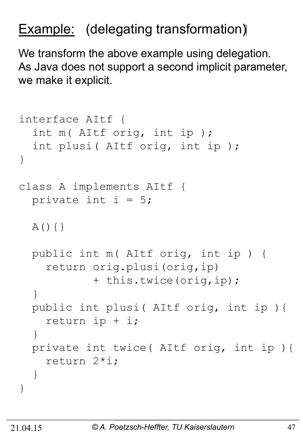## **Example:** (delegating transformation)

We transform the above example using delegation. As Java does not support a second implicit parameter, we make it explicit.

```
interface AItf { 
   int m( AItf orig, int ip ); 
   int plusi( AItf orig, int ip ); 
} 
class A implements AItf { 
  private int i = 5;
  A() { }
   public int m( AItf orig, int ip ) { 
     return orig.plusi(orig,ip) 
             + this.twice(orig,ip); 
   } 
   public int plusi( AItf orig, int ip ){ 
     return ip + i; 
   } 
   private int twice( AItf orig, int ip ){ 
     return 2*i; 
   } 
}
```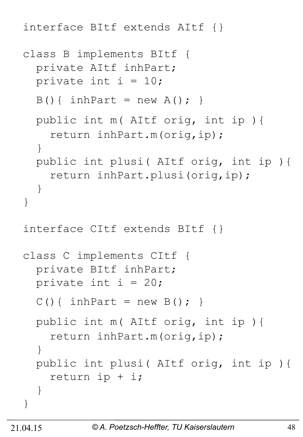interface BItf extends AItf {}

```
class B implements BItf { 
   private AItf inhPart; 
  private int i = 10;
  B() { inhPart = new A(); }
   public int m( AItf orig, int ip ){ 
     return inhPart.m(orig,ip); 
   } 
   public int plusi( AItf orig, int ip ){ 
     return inhPart.plusi(orig,ip); 
   } 
} 
interface CItf extends BItf {} 
class C implements CItf { 
   private BItf inhPart; 
  private int i = 20;
  C() { inhPart = new B(); }
   public int m( AItf orig, int ip ){ 
     return inhPart.m(orig,ip); 
   } 
   public int plusi( AItf orig, int ip ){ 
     return ip + i; 
   } 
}
```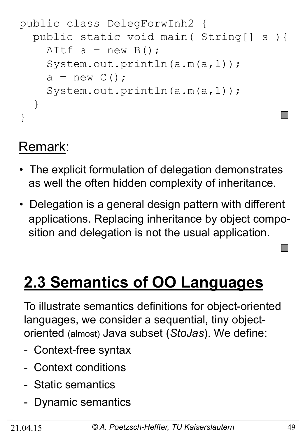```
public class DelegForwInh2 { 
   public static void main( String[] s ){ 
    AItf a = new B();
     System.out.println(a.m(a,1)); 
    a = new C();
    System.out.println(a.m(a,1));
   } 
}
```
## Remark:

- The explicit formulation of delegation demonstrates as well the often hidden complexity of inheritance.
- Delegation is a general design pattern with different applications. Replacing inheritance by object compo sition and delegation is not the usual application.

## **2.3 Semantics of OO Languages**

To illustrate semantics definitions for object-oriented languages, we consider a sequential, tiny objectoriented (almost) Java subset (*StoJas*). We define:

- Context-free syntax
- Context conditions
- Static semantics
- Dynamic semantics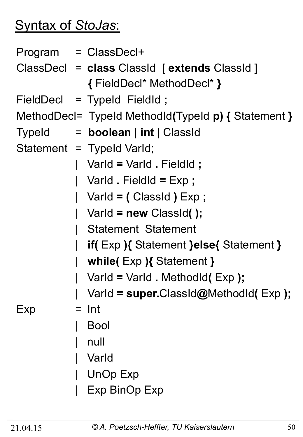## Syntax of *StoJas*:

|     |  | Program = ClassDecl+                                |  |  |  |
|-----|--|-----------------------------------------------------|--|--|--|
|     |  | ClassDecl = class ClassId [extends ClassId]         |  |  |  |
|     |  | { FieldDecl* MethodDecl* }                          |  |  |  |
|     |  | FieldDecl = TypeId FieldId;                         |  |  |  |
|     |  | MethodDecl= TypeId MethodId(TypeId p) { Statement } |  |  |  |
|     |  | Typeld $=$ <b>boolean</b> $ $ int $ $ Classid       |  |  |  |
|     |  | Statement = Typeld Varld;                           |  |  |  |
|     |  | Varld = Varld . Fieldld ;                           |  |  |  |
|     |  | Varld . FieldId = $Exp$ ;                           |  |  |  |
|     |  | Varld = $($ Classid $)$ Exp;                        |  |  |  |
|     |  | $\vert$ Varld = new ClassId();                      |  |  |  |
|     |  | <b>Statement Statement</b>                          |  |  |  |
|     |  | <b>if(Exp){ Statement }else{ Statement }</b>        |  |  |  |
|     |  | while( $Exp$ ){Statement }                          |  |  |  |
|     |  | Varld = Varld . Methodid(Exp);                      |  |  |  |
|     |  | VarId = super.ClassId@MethodId(Exp);                |  |  |  |
| Exp |  | $=$ Int                                             |  |  |  |
|     |  | <b>Bool</b>                                         |  |  |  |
|     |  | null                                                |  |  |  |
|     |  | Varld                                               |  |  |  |
|     |  | <b>UnOp Exp</b>                                     |  |  |  |
|     |  | <b>Exp BinOp Exp</b>                                |  |  |  |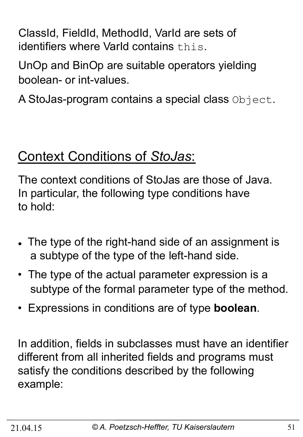ClassId, FieldId, MethodId, VarId are sets of identifiers where VarId contains this.

UnOp and BinOp are suitable operators yielding boolean- or int-values.

A StoJas-program contains a special class Object.

## Context Conditions of *StoJas*:

The context conditions of StoJas are those of Java. In particular, the following type conditions have to hold:

- The type of the right-hand side of an assignment is a subtype of the type of the left-hand side.
- The type of the actual parameter expression is a subtype of the formal parameter type of the method.
- Expressions in conditions are of type **boolean**.

In addition, fields in subclasses must have an identifier different from all inherited fields and programs must satisfy the conditions described by the following example: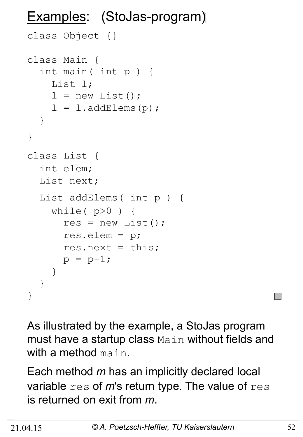## Examples: (StoJas-program)

```
class Object {} 
class Main { 
   int main( int p ) { 
     List l; 
    l = new List();
    l = l.addElements(p);
   } 
} 
class List { 
   int elem; 
   List next; 
   List addElems( int p ) { 
    while(p>0) {
       res = new List();
        res.elem = p; 
       res.next = this;p = p-1; } 
   } 
}
```
As illustrated by the example, a StoJas program must have a startup class Main without fields and with a method main.

Each method *m* has an implicitly declared local variable res of *m*'s return type. The value of res is returned on exit from *m*.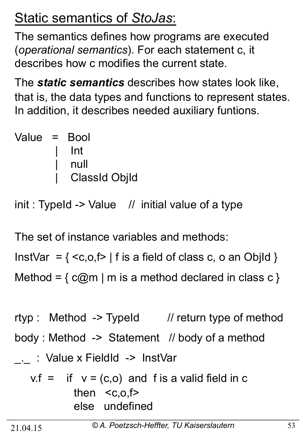## Static semantics of *StoJas*:

The semantics defines how programs are executed (*operational semantics*). For each statement c, it describes how c modifies the current state.

The *static semantics* describes how states look like, that is, the data types and functions to represent states. In addition, it describes needed auxiliary funtions.

| Value = Bool |                      |
|--------------|----------------------|
|              | $\blacksquare$ Int   |
|              | null                 |
|              | <b>ClassId ObjId</b> |

 $init: TypeId -> Value$  // initial value of a type

The set of instance variables and methods:

InstVar =  $\{  \mid f \text{ is a field of class } c, o \text{ an ObjId } \}$ Method =  $\{ c@m \mid m \text{ is a method declared in class } c \}$ 

rtyp : Method -> TypeId // return type of method body : Method -> Statement // body of a method \_.\_ : Value x FieldId -> InstVar  $v.f =$  if  $v = (c,o)$  and f is a valid field in c then  $< c, o, f$ else undefined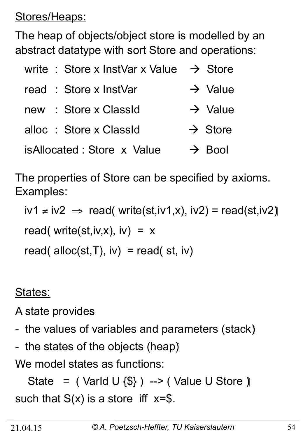Stores/Heaps:

The heap of objects/object store is modelled by an abstract datatype with sort Store and operations:

| write : Store x InstVar x Value $\rightarrow$ Store |                     |  |  |  |
|-----------------------------------------------------|---------------------|--|--|--|
| read : Store x InstVar                              | $\rightarrow$ Value |  |  |  |
| : Store x ClassId<br>new                            | $\rightarrow$ Value |  |  |  |
| alloc : Store x ClassId                             | $\rightarrow$ Store |  |  |  |
| isAllocated: Store x Value<br>$\rightarrow$ Bool    |                     |  |  |  |

The properties of Store can be specified by axioms. Examples:

iv1 ≠ iv2  $\Rightarrow$  read( write(st,iv1,x), iv2) = read(st,iv2) read( write(st,iv,x), iv) =  $x$ read( alloc(st,  $T$ ),  $iv$ ) = read( st,  $iv$ )

States:

A state provides

- the values of variables and parameters (stack)
- the states of the objects (heap)

We model states as functions:

State =  $($  Varld U  $\{\$\}$  ) -->  $($  Value U Store  $)\$ such that  $S(x)$  is a store iff  $x=\$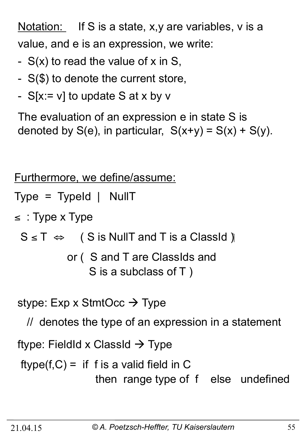Notation: If S is a state, x,y are variables, v is a value, and e is an expression, we write:

- S(x) to read the value of x in S,
- S(\$) to denote the current store,
- $S[x := v]$  to update S at x by v

The evaluation of an expression e in state S is denoted by  $S(e)$ , in particular,  $S(x+y) = S(x) + S(y)$ .

Furthermore, we define/assume:

Type = TypeId | NullT

 $\le$ : Type x Type

 $S \leq T \Leftrightarrow$  ( S is NullT and T is a ClassId )

 or ( S and T are ClassIds and S is a subclass of T )

stype:  $Exp \times$  StmtOcc  $\rightarrow$  Type

// denotes the type of an expression in a statement

ftype: FieldId x ClassId  $\rightarrow$  Type

 $ftype(f, C) =$  if f is a valid field in C then range type of f else undefined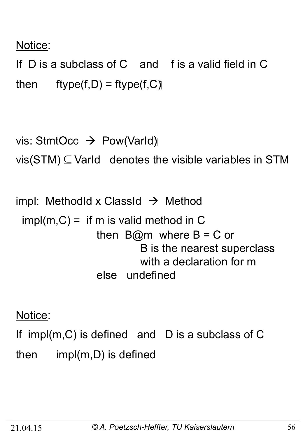### Notice:

If D is a subclass of C and f is a valid field in C then  $ftype(f,D) = ftype(f,C)$ 

```
vis: StmtOcc \rightarrow Pow(VarId)
vis(STM) \subseteq \text{Variable variables in STM}
```
impl: MethodId x ClassId  $\rightarrow$  Method  $impl(m, C) =$  if m is valid method in C then  $B@m$  where  $B = C$  or B is the nearest superclass with a declaration for m else undefined

Notice:

If impl(m,C) is defined and D is a subclass of C then impl(m,D) is defined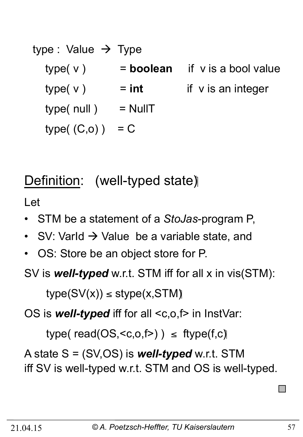| type : Value $\rightarrow$ Type |           |                         |
|---------------------------------|-----------|-------------------------|
| type(v)                         | = boolean | if v is a bool value    |
| type(v)                         | $=$ int   | if $\vee$ is an integer |
| type( null)                     | $=$ NullT |                         |
| type( (C,o) )                   | $= C$     |                         |

## Definition: (well-typed state)

Let

- STM be a statement of a *StoJas*-program P,
- SV: Varld  $\rightarrow$  Value be a variable state, and
- OS: Store be an object store for P.

SV is *well-typed* w.r.t. STM iff for all x in vis(STM):

 $type(SV(x)) \leq style(x, \text{STM})$ 

OS is **well-typed** iff for all <c,o,f> in InstVar:

type( $read(OS, )$ )  $\leq$  ftype( $f,c$ )

A state S = (SV,OS) is *well-typed* w.r.t. STM iff SV is well-typed w.r.t. STM and OS is well-typed.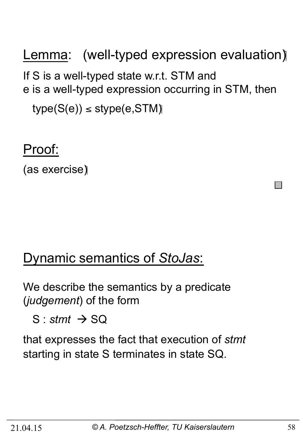Lemma: (well-typed expression evaluation) If S is a well-typed state w.r.t. STM and e is a well-typed expression occurring in STM, then  $type(S(e)) \leq stype(e,STM)$ 

### Proof:

(as exercise)

## Dynamic semantics of *StoJas*:

We describe the semantics by a predicate (*judgement*) of the form

 $S :$ *stmt*  $\rightarrow$  SQ

that expresses the fact that execution of *stmt*  starting in state S terminates in state SQ.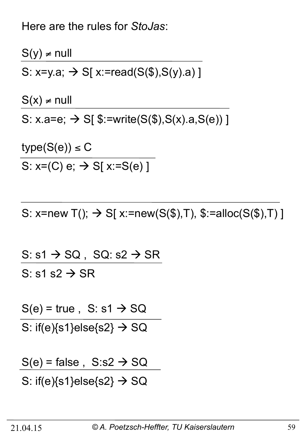Here are the rules for *StoJas*:

 $S(y) \neq null$ S: x=y.a;  $\rightarrow$  S[ x:=read(S(\$), S(y).a) ]

 $S(x) \neq null$ 

S:  $x.a = e$ ;  $\rightarrow$  S[ $\frac{1}{2}$ :=write(S( $\frac{1}{2}$ ), S( $x$ ).a, S( $e$ ))]

 $type(S(e)) \leq C$ 

S:  $x=(C) e$ ;  $\rightarrow$  S[ $x:=S(e)$ ]

S: x=new T();  $\rightarrow$  S[ x:=new(S(\$),T), \$:=alloc(S(\$),T) ]

S:  $s1 \rightarrow SQ$ , SQ:  $s2 \rightarrow SR$ S: s1 s2  $\rightarrow$  SR

 $S(e)$  = true, S: s1  $\rightarrow$  SQ

S: if(e) $\{s1\}$ else $\{s2\} \rightarrow SQ$ 

 $S(e)$  = false,  $S: s2 \rightarrow SQ$ 

S: if(e) $\{s1\}$ else $\{s2\} \rightarrow SQ$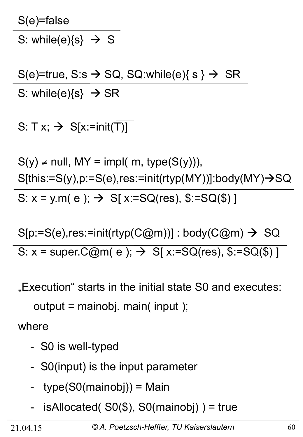S(e)=false

S: while(e){s}  $\rightarrow$  S

S(e)=true, S:s  $\rightarrow$  SQ, SQ:while(e){ s }  $\rightarrow$  SR S: while(e) $\{s\} \rightarrow SR$ 

S:  $Tx; \rightarrow S[x:=init(T)]$ 

 $S(y) \neq null$ , MY = impl( m, type( $S(y)$ )),  $S[this:=S(y), p:=S(e), res:=init(rtyp(MY))]:body(MY)\rightarrow SQ$ S:  $x = y.m(e); \rightarrow S[x:=SQ(res), $:=SQ($)$ ]

 $S[p:=S(e), res:=init(rtyp(C@m))]$  : body( $C@m) \rightarrow SQ$ S:  $x = super.C@m(e); \rightarrow S[x:=SQ(res), $:=SQ($)$ ]

"Execution" starts in the initial state S0 and executes:

output = mainobj. main( input );

where

- S0 is well-typed
- S0(input) is the input parameter
- type(S0(mainobj)) = Main
- $isAllocated($  S0( $\$)$ , S0(mainobj) ) = true